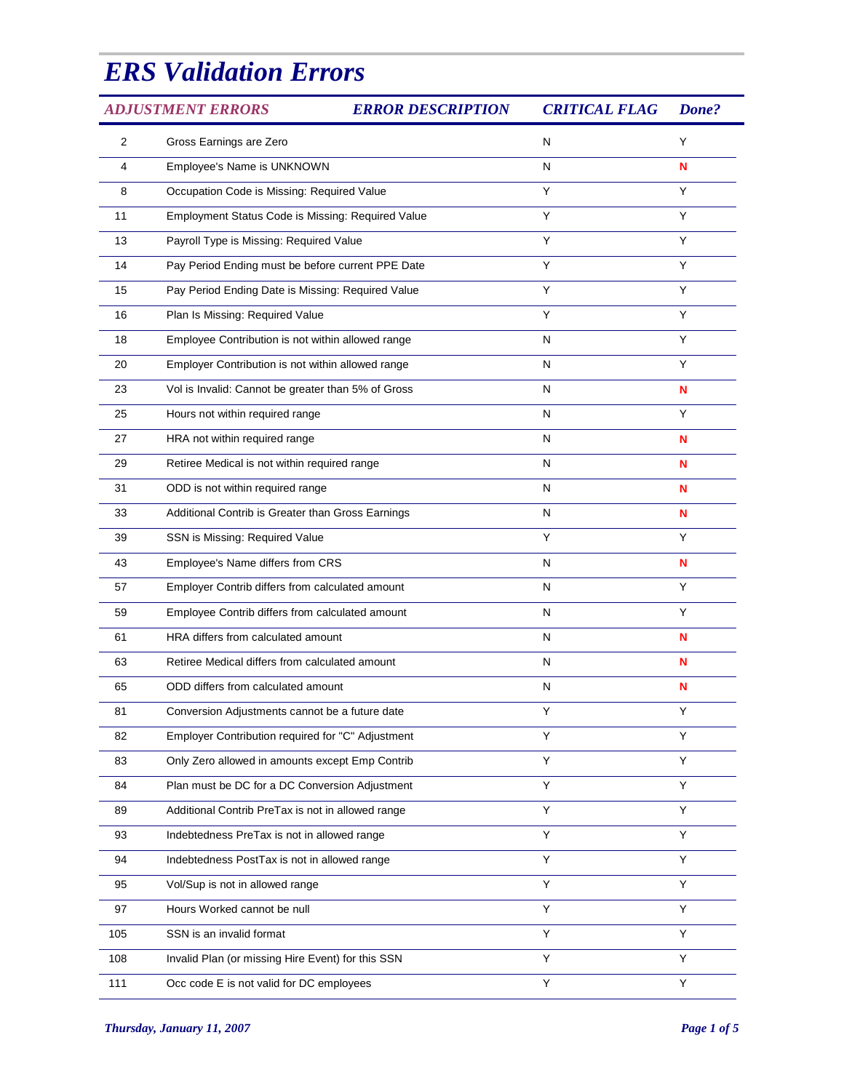## *ERS Validation Errors*

| <b>ADJUSTMENT ERRORS</b> |                                                    | <b>ERROR DESCRIPTION</b> | <b>CRITICAL FLAG</b> | Done? |  |
|--------------------------|----------------------------------------------------|--------------------------|----------------------|-------|--|
| 2                        | Gross Earnings are Zero                            |                          | N                    | Υ     |  |
| 4                        | Employee's Name is UNKNOWN                         |                          | Ν                    | N     |  |
| 8                        | Occupation Code is Missing: Required Value         |                          | Υ                    | Y     |  |
| 11                       | Employment Status Code is Missing: Required Value  |                          | Y                    | Y     |  |
| 13                       | Payroll Type is Missing: Required Value            |                          | Υ                    | Y     |  |
| 14                       | Pay Period Ending must be before current PPE Date  |                          | Y                    | Y     |  |
| 15                       | Pay Period Ending Date is Missing: Required Value  |                          | Υ                    | Y     |  |
| 16                       | Plan Is Missing: Required Value                    |                          | Y                    | Y     |  |
| 18                       | Employee Contribution is not within allowed range  |                          | N                    | Y     |  |
| 20                       | Employer Contribution is not within allowed range  |                          | Ν                    | Υ     |  |
| 23                       | Vol is Invalid: Cannot be greater than 5% of Gross |                          | N                    | N     |  |
| 25                       | Hours not within required range                    |                          | N                    | Y     |  |
| 27                       | HRA not within required range                      |                          | N                    | N     |  |
| 29                       | Retiree Medical is not within required range       |                          | N                    | N     |  |
| 31                       | ODD is not within required range                   |                          | N                    | N     |  |
| 33                       | Additional Contrib is Greater than Gross Earnings  |                          | N                    | N     |  |
| 39                       | SSN is Missing: Required Value                     |                          | Υ                    | Υ     |  |
| 43                       | Employee's Name differs from CRS                   |                          | N                    | N     |  |
| 57                       | Employer Contrib differs from calculated amount    |                          | N                    | Y     |  |
| 59                       | Employee Contrib differs from calculated amount    |                          | N                    | Y     |  |
| 61                       | HRA differs from calculated amount                 |                          | N                    | N     |  |
| 63                       | Retiree Medical differs from calculated amount     |                          | N                    | N     |  |
| 65                       | ODD differs from calculated amount                 |                          | N                    | N     |  |
| 81                       | Conversion Adjustments cannot be a future date     |                          | Y                    | Υ     |  |
| 82                       | Employer Contribution required for "C" Adjustment  |                          | Υ                    | Y     |  |
| 83                       | Only Zero allowed in amounts except Emp Contrib    |                          | Υ                    | Υ     |  |
| 84                       | Plan must be DC for a DC Conversion Adjustment     |                          | Υ                    | Y     |  |
| 89                       | Additional Contrib PreTax is not in allowed range  |                          | Υ                    | Υ     |  |
| 93                       | Indebtedness PreTax is not in allowed range        |                          | Υ                    | Y     |  |
| 94                       | Indebtedness PostTax is not in allowed range       |                          | Υ                    | Υ     |  |
| 95                       | Vol/Sup is not in allowed range                    |                          | Υ                    | Y     |  |
| 97                       | Hours Worked cannot be null                        |                          | Υ                    | Υ     |  |
| 105                      | SSN is an invalid format                           |                          | Υ                    | Y     |  |
| 108                      | Invalid Plan (or missing Hire Event) for this SSN  |                          | Υ                    | Υ     |  |
| 111                      | Occ code E is not valid for DC employees           |                          | Υ                    | Y     |  |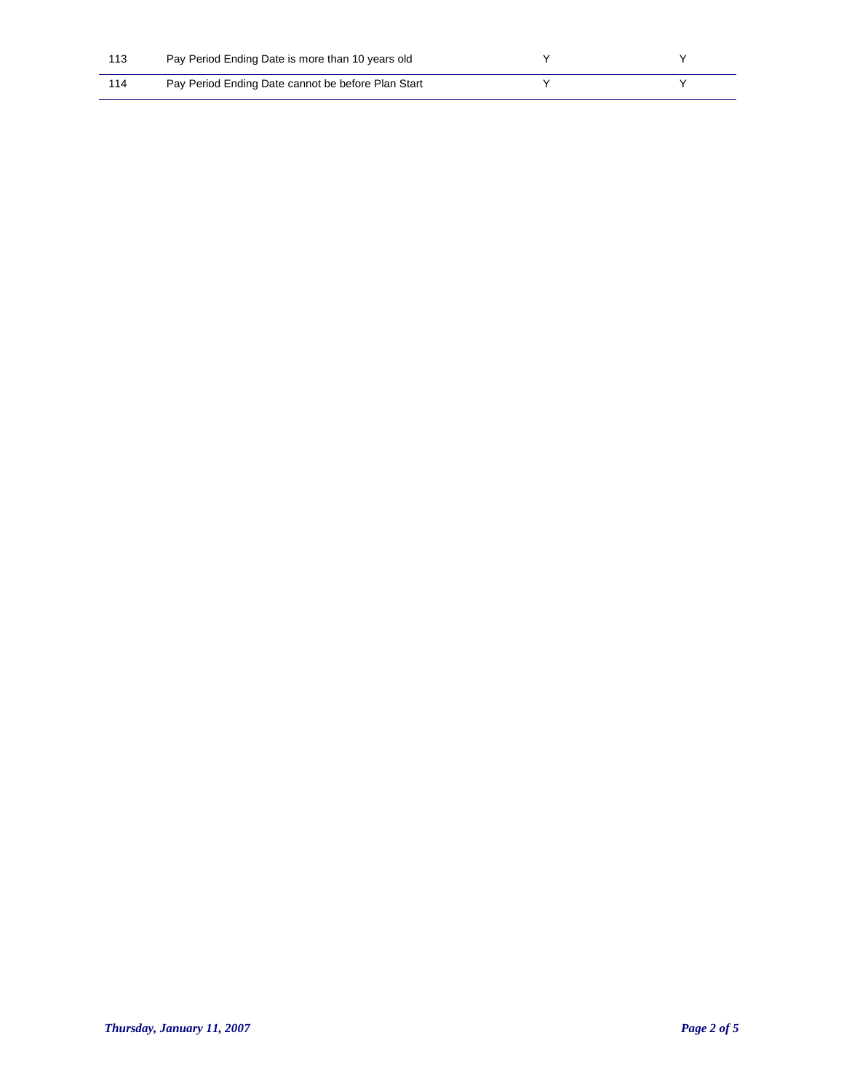| 113 | Pay Period Ending Date is more than 10 years old   |  |
|-----|----------------------------------------------------|--|
| 114 | Pay Period Ending Date cannot be before Plan Start |  |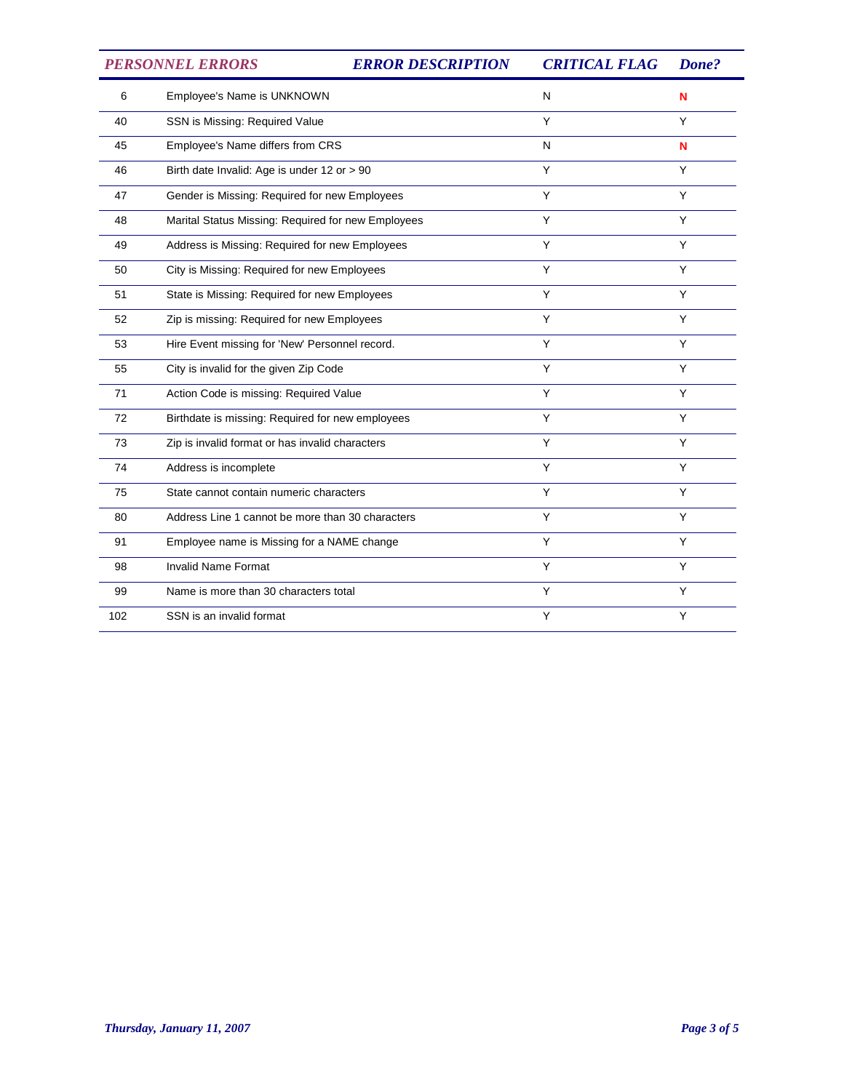*PERSONNEL ERRORS ERROR DESCRIPTION CRITICAL FLAG Done?*

| 6   | Employee's Name is UNKNOWN                         | N | N |
|-----|----------------------------------------------------|---|---|
| 40  | SSN is Missing: Required Value                     | Y | Y |
| 45  | Employee's Name differs from CRS                   | N | N |
| 46  | Birth date Invalid: Age is under 12 or > 90        | Y | Y |
| 47  | Gender is Missing: Required for new Employees      | Y | Y |
| 48  | Marital Status Missing: Required for new Employees | Y | Y |
| 49  | Address is Missing: Required for new Employees     | Y | Y |
| 50  | City is Missing: Required for new Employees        | Y | Y |
| 51  | State is Missing: Required for new Employees       | Y | Y |
| 52  | Zip is missing: Required for new Employees         | Y | Y |
| 53  | Hire Event missing for 'New' Personnel record.     | Y | Υ |
| 55  | City is invalid for the given Zip Code             | Y | Y |
| 71  | Action Code is missing: Required Value             | Y | Y |
| 72  | Birthdate is missing: Required for new employees   | Y | Y |
| 73  | Zip is invalid format or has invalid characters    | Y | Y |
| 74  | Address is incomplete                              | Y | Y |
| 75  | State cannot contain numeric characters            | Y | Y |
| 80  | Address Line 1 cannot be more than 30 characters   | Y | Y |
| 91  | Employee name is Missing for a NAME change         | Y | Y |
| 98  | <b>Invalid Name Format</b>                         | Y | Y |
| 99  | Name is more than 30 characters total              | Y | Y |
| 102 | SSN is an invalid format                           | Y | Y |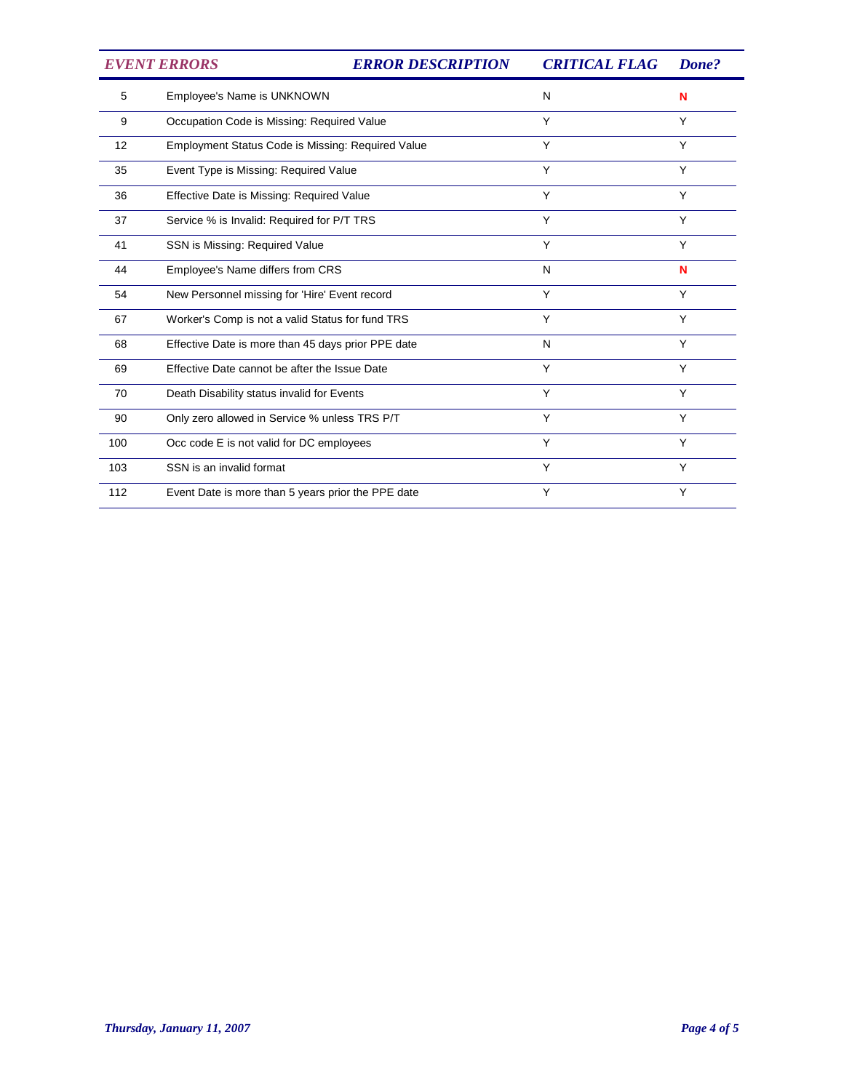| <b>EVENT ERRORS</b> |                                                    | <b>ERROR DESCRIPTION</b> | <b>CRITICAL FLAG</b> | Done? |
|---------------------|----------------------------------------------------|--------------------------|----------------------|-------|
| 5                   | Employee's Name is UNKNOWN                         |                          | N                    | N     |
| 9                   | Occupation Code is Missing: Required Value         |                          | Y                    | Y     |
| 12                  | Employment Status Code is Missing: Required Value  |                          | Y                    | Y     |
| 35                  | Event Type is Missing: Required Value              |                          | Y                    | Y     |
| 36                  | Effective Date is Missing: Required Value          |                          | Y                    | Y     |
| 37                  | Service % is Invalid: Required for P/T TRS         |                          | Y                    | Y     |
| 41                  | SSN is Missing: Required Value                     |                          | Y                    | Y     |
| 44                  | Employee's Name differs from CRS                   |                          | N                    | N     |
| 54                  | New Personnel missing for 'Hire' Event record      |                          | Y                    | Y     |
| 67                  | Worker's Comp is not a valid Status for fund TRS   |                          | Y                    | Y     |
| 68                  | Effective Date is more than 45 days prior PPE date |                          | N                    | Υ     |
| 69                  | Effective Date cannot be after the Issue Date      |                          | Y                    | Y     |
| 70                  | Death Disability status invalid for Events         |                          | Y                    | Y     |
| 90                  | Only zero allowed in Service % unless TRS P/T      |                          | Y                    | Y     |
| 100                 | Occ code E is not valid for DC employees           |                          | Y                    | Y     |
| 103                 | SSN is an invalid format                           |                          | Y                    | Y     |
| 112                 | Event Date is more than 5 years prior the PPE date |                          | Y                    | Y     |